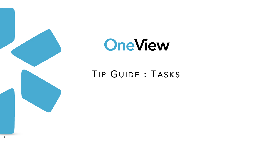

# OneView

## TIP GUIDE : TASKS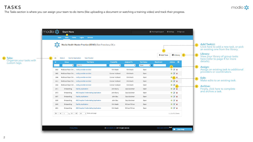### **TASKS**

The Tasks section is where you can assign your team to-do items (like uploading a document or watching a training video) and track their progress.



|                                                                                         |                          |                                    | 血 Training & Support        | 幸 Settings<br>□ Sign out                |                |                                   |                                                                                                                                                                              |
|-----------------------------------------------------------------------------------------|--------------------------|------------------------------------|-----------------------------|-----------------------------------------|----------------|-----------------------------------|------------------------------------------------------------------------------------------------------------------------------------------------------------------------------|
|                                                                                         |                          |                                    |                             |                                         |                |                                   |                                                                                                                                                                              |
|                                                                                         |                          |                                    | $\vert$ 1<br>+ Add Task     | ■ Library                               | 2 <sup>1</sup> | $\begin{bmatrix} 1 \end{bmatrix}$ | Add Task(s):<br>Click here to add a new task, or pick<br>an existing one from the library.<br>Library:<br>View your library of group tasks<br>here (refer to page 4 for more |
| $\ddot{\mathbf{r}}$                                                                     | <b>Assigned To</b><br>÷. | <b>Task Status</b><br>≑]×∶<br>Open | <b>Attachment</b><br>$-448$ | $\boldsymbol{\Theta}$<br><b>Actions</b> |                |                                   | details).                                                                                                                                                                    |
|                                                                                         | Kirk Heath               | Open                               |                             | $\overline{3}$<br>$+$ $\alpha$ x        |                | $\mathbf{3}$<br>$\cdots$          | <b>Assign:</b><br>Assign an existing task to additiona<br>providers or coordinators.                                                                                         |
| ırd                                                                                     | Kirk Heath               | Open                               |                             | $+$ $\alpha$ $\times$                   |                |                                   |                                                                                                                                                                              |
| ırd                                                                                     | Kirk Heath               | Open                               |                             | $4$ X                                   |                | $\overline{4}$                    | Edit:<br>Make edits to an existing task.                                                                                                                                     |
| ırd                                                                                     | Kirk Heath               | Open                               |                             | $+$ $\alpha$ $\times$                   |                |                                   |                                                                                                                                                                              |
| ırd                                                                                     | Kirk Heath               | Open                               |                             | $+$ $\alpha$ $-$<br>$\overline{5}$      |                |                                   | 5 Archive:                                                                                                                                                                   |
|                                                                                         | Gary Goldman             | Open                               |                             | $+$ $\alpha$ x                          |                |                                   | Finally, click here to complete<br>and archive a task.                                                                                                                       |
|                                                                                         | Gary Goldman             | Open                               |                             | $+$ $\alpha$ $\times$                   |                |                                   |                                                                                                                                                                              |
|                                                                                         | Gary Goldman             | Open                               |                             | $+$ $\alpha$ x                          |                |                                   |                                                                                                                                                                              |
|                                                                                         | Gary Goldman             | Open                               |                             | $+$ $\alpha$ x                          |                |                                   |                                                                                                                                                                              |
|                                                                                         | William Fithian          | Open                               |                             | $+$ $\alpha$ x                          |                |                                   |                                                                                                                                                                              |
|                                                                                         | William Fithian          | Open                               |                             | $+$ $\alpha$ $\times$                   |                |                                   |                                                                                                                                                                              |
|                                                                                         |                          |                                    |                             | $1 - 11$ of 11 items                    |                |                                   |                                                                                                                                                                              |
|                                                                                         |                          |                                    |                             |                                         |                |                                   |                                                                                                                                                                              |
| Terms and Conditions New!<br>All rights reserved.<br><b>Live Help</b><br>$\blacksquare$ |                          |                                    |                             |                                         |                |                                   |                                                                                                                                                                              |



or pick y.  $\overline{\mathsf{S}}$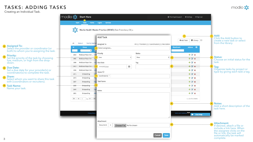Creating an Individual Task.

#### **Assigned To:**

Select the provider or coordinator (or both) to whom you're assigning the task.







## **Priority: 23**

Set the priority of the task by choosing low, medium, or high from the dropdown.

#### **5** Due Date:

Set a due date for your provider(s) or coordinator(s) to complete the task.

|                                                     | 血 Training & Support<br>□ Sign out<br><b>♦ Settings</b>                                                                                                                                                                                                                                                                                                                                                                                                                                                                                                                            |                                                                                                                                                                |
|-----------------------------------------------------|------------------------------------------------------------------------------------------------------------------------------------------------------------------------------------------------------------------------------------------------------------------------------------------------------------------------------------------------------------------------------------------------------------------------------------------------------------------------------------------------------------------------------------------------------------------------------------|----------------------------------------------------------------------------------------------------------------------------------------------------------------|
| Francisco, CA) –                                    |                                                                                                                                                                                                                                                                                                                                                                                                                                                                                                                                                                                    |                                                                                                                                                                |
| All: De Providers   De Coordinators   De Recruiters | ■Library ©<br>+ Add Task<br>ℯ<br><b>Attachment</b><br><b>Actions</b>                                                                                                                                                                                                                                                                                                                                                                                                                                                                                                               | Add:<br>Click the Add button to<br>create a new task or select<br>from the library.                                                                            |
| Status<br>÷<br>New<br>÷<br>Tag                      | $+$ $\alpha$ $\times$<br>$+$ $\alpha$ x<br>$+$ $\alpha$ $\times$                                                                                                                                                                                                                                                                                                                                                                                                                                                                                                                   | <b>Status:</b><br>Choose an initial status for the<br>task.                                                                                                    |
| 雦                                                   | $\begin{array}{c} \begin{array}{c} \text{if } \mathcal{A} \end{array} & \begin{array}{c} \text{if } \mathcal{A} \end{array} & \begin{array}{c} \text{if } \mathcal{A} \end{array} & \begin{array}{c} \text{if } \mathcal{A} \end{array} & \begin{array}{c} \text{if } \mathcal{A} \end{array} & \begin{array}{c} \text{if } \mathcal{A} \end{array} & \begin{array}{c} \text{if } \mathcal{A} \end{array} & \begin{array}{c} \text{if } \mathcal{A} \end{array} & \begin{array}{c} \text{if } \mathcal{A} \end{$<br>6<br>$+$ $\alpha$ $\times$<br>$+$ $\alpha$ x<br>$+$ $\alpha$ x | Tag:<br>Organize tasks by project or<br>type by giving each task a tag.                                                                                        |
|                                                     | $+ \alpha x$<br>$+$ $\alpha$ $\times$<br>$+$ $\alpha$ $\times$<br>$+$ $\alpha$ $\times$                                                                                                                                                                                                                                                                                                                                                                                                                                                                                            |                                                                                                                                                                |
|                                                     | $1 - 11$ of 11 items<br>9                                                                                                                                                                                                                                                                                                                                                                                                                                                                                                                                                          | <b>Notes:</b><br>Add a short description of the<br>task here.                                                                                                  |
|                                                     | Terms and Conditions New!<br><b>Live Help</b><br>$\bullet$                                                                                                                                                                                                                                                                                                                                                                                                                                                                                                                         | <b>Attachment:</b>                                                                                                                                             |
| ose File   No file chosen<br>Cancel<br>Save         | $\begin{array}{ c c c }\n\hline\n\text{10}\n\end{array}$<br>$10$ . The same state $\sim$                                                                                                                                                                                                                                                                                                                                                                                                                                                                                           | If desired, attach a file or<br>include a link here. When<br>the assignee clicks on the<br>file or link, the task will<br>automatically be marked<br>complete. |



Select whom you want to share this task with (coordinators or recruiters).

#### **Share: 7**

Name your task.

#### **Task Name: 8**







## TASKS: ADDING TASKS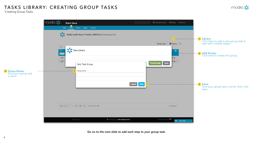## TASKS LIBRARY: CREATING GROUP TASKS

Creating Group Tasks.



Go on to the next slide to add each step to your group task.

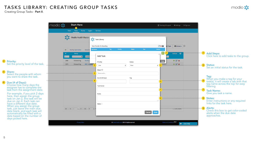

#### Creating Group Tasks - **Part II**. TASKS LIBRARY: CREATING GROUP TASKS







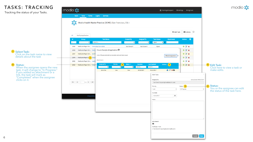## TASKS: TRACKING

**2**

Tracking the status of your Tasks.